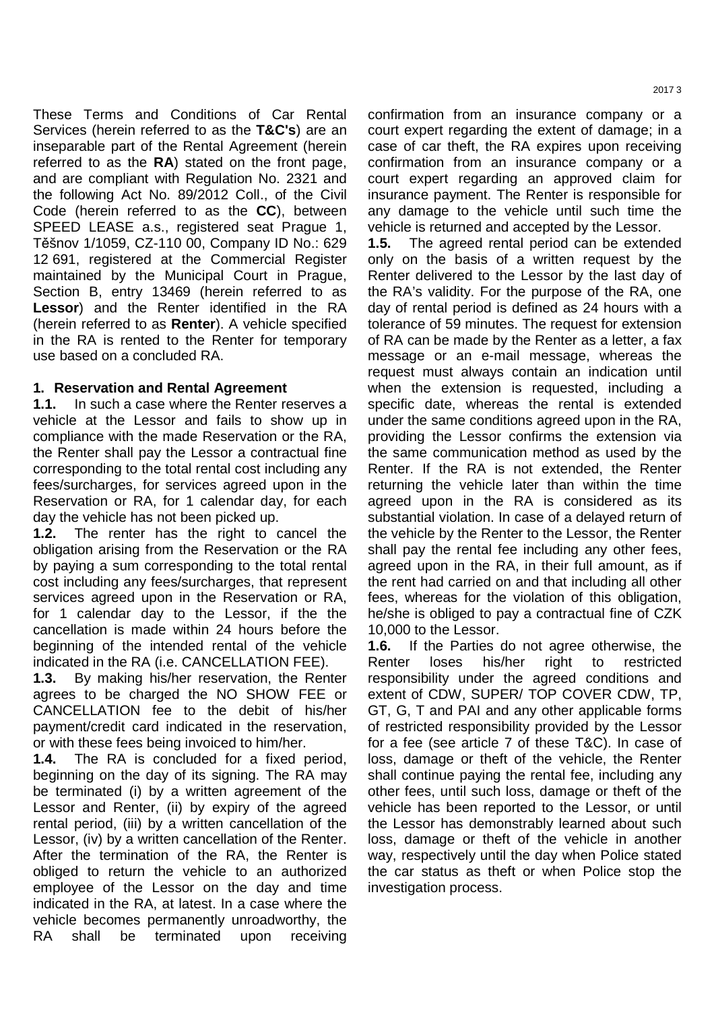These Terms and Conditions of Car Rental Services (herein referred to as the **T&C's**) are an inseparable part of the Rental Agreement (herein referred to as the **RA**) stated on the front page, and are compliant with Regulation No. 2321 and the following Act No. 89/2012 Coll., of the Civil Code (herein referred to as the **CC**), between SPEED LEASE a.s., registered seat Prague 1, Těšnov 1/1059, CZ-110 00, Company ID No.: 629 12 691, registered at the Commercial Register maintained by the Municipal Court in Prague, Section B, entry 13469 (herein referred to as **Lessor**) and the Renter identified in the RA (herein referred to as **Renter**). A vehicle specified in the RA is rented to the Renter for temporary use based on a concluded RA.

#### **1. Reservation and Rental Agreement**

**1.1.** In such a case where the Renter reserves a vehicle at the Lessor and fails to show up in compliance with the made Reservation or the RA, the Renter shall pay the Lessor a contractual fine corresponding to the total rental cost including any fees/surcharges, for services agreed upon in the Reservation or RA, for 1 calendar day, for each day the vehicle has not been picked up.

**1.2.** The renter has the right to cancel the obligation arising from the Reservation or the RA by paying a sum corresponding to the total rental cost including any fees/surcharges, that represent services agreed upon in the Reservation or RA, for 1 calendar day to the Lessor, if the the cancellation is made within 24 hours before the beginning of the intended rental of the vehicle indicated in the RA (i.e. CANCELLATION FEE).

**1.3.** By making his/her reservation, the Renter agrees to be charged the NO SHOW FEE or CANCELLATION fee to the debit of his/her payment/credit card indicated in the reservation, or with these fees being invoiced to him/her.

**1.4.** The RA is concluded for a fixed period, beginning on the day of its signing. The RA may be terminated (i) by a written agreement of the Lessor and Renter, (ii) by expiry of the agreed rental period, (iii) by a written cancellation of the Lessor, (iv) by a written cancellation of the Renter. After the termination of the RA, the Renter is obliged to return the vehicle to an authorized employee of the Lessor on the day and time indicated in the RA, at latest. In a case where the vehicle becomes permanently unroadworthy, the RA shall be terminated upon receiving confirmation from an insurance company or a court expert regarding the extent of damage; in a case of car theft, the RA expires upon receiving confirmation from an insurance company or a court expert regarding an approved claim for insurance payment. The Renter is responsible for any damage to the vehicle until such time the vehicle is returned and accepted by the Lessor.

**1.5.** The agreed rental period can be extended only on the basis of a written request by the Renter delivered to the Lessor by the last day of the RA's validity. For the purpose of the RA, one day of rental period is defined as 24 hours with a tolerance of 59 minutes. The request for extension of RA can be made by the Renter as a letter, a fax message or an e-mail message, whereas the request must always contain an indication until when the extension is requested, including a specific date, whereas the rental is extended under the same conditions agreed upon in the RA, providing the Lessor confirms the extension via the same communication method as used by the Renter. If the RA is not extended, the Renter returning the vehicle later than within the time agreed upon in the RA is considered as its substantial violation. In case of a delayed return of the vehicle by the Renter to the Lessor, the Renter shall pay the rental fee including any other fees, agreed upon in the RA, in their full amount, as if the rent had carried on and that including all other fees, whereas for the violation of this obligation, he/she is obliged to pay a contractual fine of CZK 10,000 to the Lessor.

**1.6.** If the Parties do not agree otherwise, the Renter loses his/her right to restricted responsibility under the agreed conditions and extent of CDW, SUPER/ TOP COVER CDW, TP, GT, G, T and PAI and any other applicable forms of restricted responsibility provided by the Lessor for a fee (see article 7 of these T&C). In case of loss, damage or theft of the vehicle, the Renter shall continue paying the rental fee, including any other fees, until such loss, damage or theft of the vehicle has been reported to the Lessor, or until the Lessor has demonstrably learned about such loss, damage or theft of the vehicle in another way, respectively until the day when Police stated the car status as theft or when Police stop the investigation process.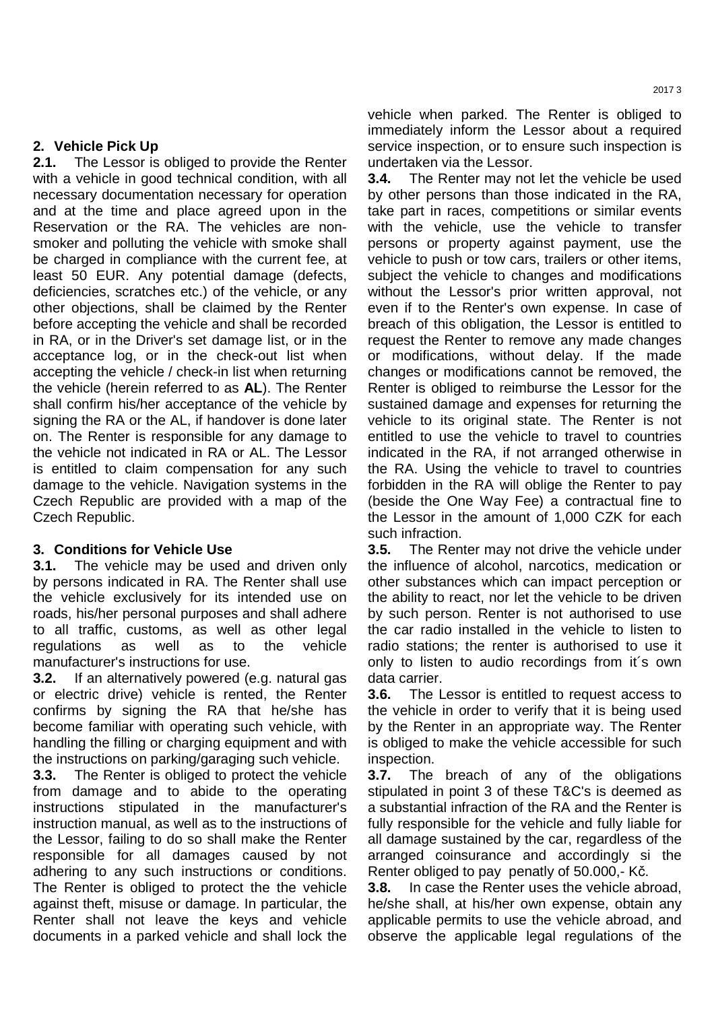# **2. Vehicle Pick Up**

**2.1.** The Lessor is obliged to provide the Renter with a vehicle in good technical condition, with all necessary documentation necessary for operation and at the time and place agreed upon in the Reservation or the RA. The vehicles are nonsmoker and polluting the vehicle with smoke shall be charged in compliance with the current fee, at least 50 EUR. Any potential damage (defects, deficiencies, scratches etc.) of the vehicle, or any other objections, shall be claimed by the Renter before accepting the vehicle and shall be recorded in RA, or in the Driver's set damage list, or in the acceptance log, or in the check-out list when accepting the vehicle / check-in list when returning the vehicle (herein referred to as **AL**). The Renter shall confirm his/her acceptance of the vehicle by signing the RA or the AL, if handover is done later on. The Renter is responsible for any damage to the vehicle not indicated in RA or AL. The Lessor is entitled to claim compensation for any such damage to the vehicle. Navigation systems in the Czech Republic are provided with a map of the Czech Republic.

## **3. Conditions for Vehicle Use**

**3.1.** The vehicle may be used and driven only by persons indicated in RA. The Renter shall use the vehicle exclusively for its intended use on roads, his/her personal purposes and shall adhere to all traffic, customs, as well as other legal regulations as well as to the vehicle manufacturer's instructions for use.

**3.2.** If an alternatively powered (e.g. natural gas or electric drive) vehicle is rented, the Renter confirms by signing the RA that he/she has become familiar with operating such vehicle, with handling the filling or charging equipment and with the instructions on parking/garaging such vehicle.

**3.3.** The Renter is obliged to protect the vehicle from damage and to abide to the operating instructions stipulated in the manufacturer's instruction manual, as well as to the instructions of the Lessor, failing to do so shall make the Renter responsible for all damages caused by not adhering to any such instructions or conditions. The Renter is obliged to protect the the vehicle against theft, misuse or damage. In particular, the Renter shall not leave the keys and vehicle documents in a parked vehicle and shall lock the vehicle when parked. The Renter is obliged to immediately inform the Lessor about a required service inspection, or to ensure such inspection is undertaken via the Lessor.

**3.4.** The Renter may not let the vehicle be used by other persons than those indicated in the RA, take part in races, competitions or similar events with the vehicle, use the vehicle to transfer persons or property against payment, use the vehicle to push or tow cars, trailers or other items, subject the vehicle to changes and modifications without the Lessor's prior written approval, not even if to the Renter's own expense. In case of breach of this obligation, the Lessor is entitled to request the Renter to remove any made changes or modifications, without delay. If the made changes or modifications cannot be removed, the Renter is obliged to reimburse the Lessor for the sustained damage and expenses for returning the vehicle to its original state. The Renter is not entitled to use the vehicle to travel to countries indicated in the RA, if not arranged otherwise in the RA. Using the vehicle to travel to countries forbidden in the RA will oblige the Renter to pay (beside the One Way Fee) a contractual fine to the Lessor in the amount of 1,000 CZK for each such infraction.

**3.5.** The Renter may not drive the vehicle under the influence of alcohol, narcotics, medication or other substances which can impact perception or the ability to react, nor let the vehicle to be driven by such person. Renter is not authorised to use the car radio installed in the vehicle to listen to radio stations; the renter is authorised to use it only to listen to audio recordings from it´s own data carrier.

**3.6.** The Lessor is entitled to request access to the vehicle in order to verify that it is being used by the Renter in an appropriate way. The Renter is obliged to make the vehicle accessible for such inspection.

**3.7.** The breach of any of the obligations stipulated in point 3 of these T&C's is deemed as a substantial infraction of the RA and the Renter is fully responsible for the vehicle and fully liable for all damage sustained by the car, regardless of the arranged coinsurance and accordingly si the Renter obliged to pay penatly of 50.000,- Kč.

**3.8.** In case the Renter uses the vehicle abroad, he/she shall, at his/her own expense, obtain any applicable permits to use the vehicle abroad, and observe the applicable legal regulations of the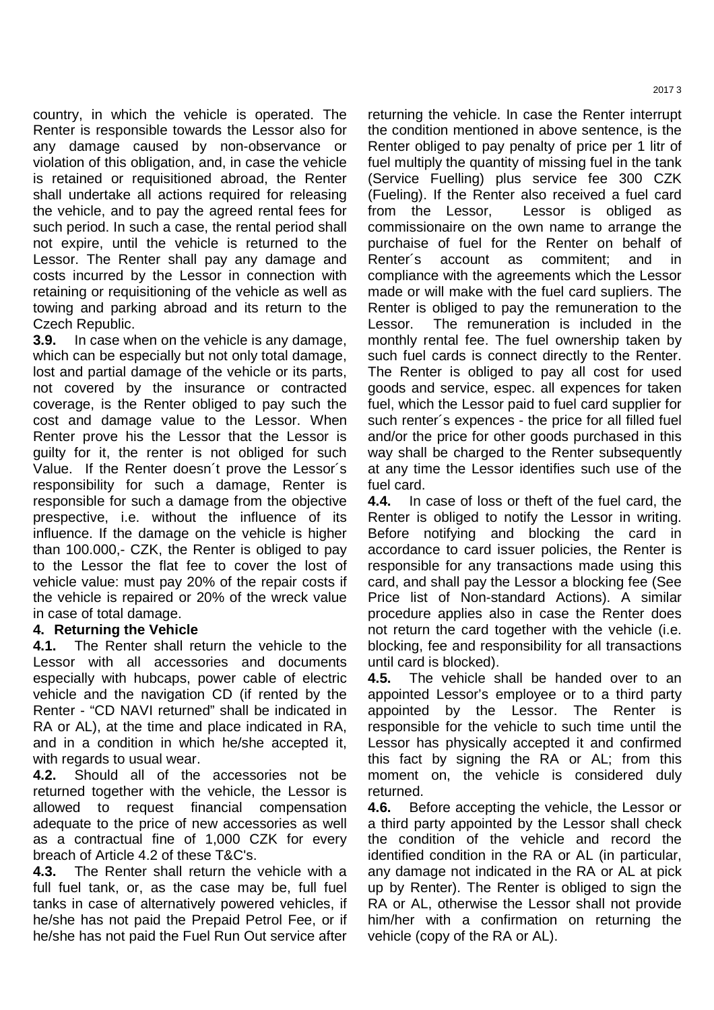country, in which the vehicle is operated. The Renter is responsible towards the Lessor also for any damage caused by non-observance or violation of this obligation, and, in case the vehicle is retained or requisitioned abroad, the Renter shall undertake all actions required for releasing the vehicle, and to pay the agreed rental fees for such period. In such a case, the rental period shall not expire, until the vehicle is returned to the Lessor. The Renter shall pay any damage and costs incurred by the Lessor in connection with retaining or requisitioning of the vehicle as well as towing and parking abroad and its return to the Czech Republic.

**3.9.** In case when on the vehicle is any damage, which can be especially but not only total damage, lost and partial damage of the vehicle or its parts, not covered by the insurance or contracted coverage, is the Renter obliged to pay such the cost and damage value to the Lessor. When Renter prove his the Lessor that the Lessor is guilty for it, the renter is not obliged for such Value. If the Renter doesn´t prove the Lessor´s responsibility for such a damage, Renter is responsible for such a damage from the objective prespective, i.e. without the influence of its influence. If the damage on the vehicle is higher than 100.000,- CZK, the Renter is obliged to pay to the Lessor the flat fee to cover the lost of vehicle value: must pay 20% of the repair costs if the vehicle is repaired or 20% of the wreck value in case of total damage.

## **4. Returning the Vehicle**

**4.1.** The Renter shall return the vehicle to the Lessor with all accessories and documents especially with hubcaps, power cable of electric vehicle and the navigation CD (if rented by the Renter - "CD NAVI returned" shall be indicated in RA or AL), at the time and place indicated in RA, and in a condition in which he/she accepted it, with regards to usual wear.

**4.2.** Should all of the accessories not be returned together with the vehicle, the Lessor is allowed to request financial compensation adequate to the price of new accessories as well as a contractual fine of 1,000 CZK for every breach of Article 4.2 of these T&C's.

**4.3.** The Renter shall return the vehicle with a full fuel tank, or, as the case may be, full fuel tanks in case of alternatively powered vehicles, if he/she has not paid the Prepaid Petrol Fee, or if he/she has not paid the Fuel Run Out service after

returning the vehicle. In case the Renter interrupt the condition mentioned in above sentence, is the Renter obliged to pay penalty of price per 1 litr of fuel multiply the quantity of missing fuel in the tank (Service Fuelling) plus service fee 300 CZK (Fueling). If the Renter also received a fuel card from the Lessor, Lessor is obliged commissionaire on the own name to arrange the purchaise of fuel for the Renter on behalf of Renter's account as commitent; and compliance with the agreements which the Lessor made or will make with the fuel card supliers. The Renter is obliged to pay the remuneration to the Lessor. The remuneration is included in the monthly rental fee. The fuel ownership taken by such fuel cards is connect directly to the Renter. The Renter is obliged to pay all cost for used goods and service, espec. all expences for taken fuel, which the Lessor paid to fuel card supplier for such renter´s expences - the price for all filled fuel and/or the price for other goods purchased in this way shall be charged to the Renter subsequently at any time the Lessor identifies such use of the fuel card.

**4.4.** In case of loss or theft of the fuel card, the Renter is obliged to notify the Lessor in writing. Before notifying and blocking the card in accordance to card issuer policies, the Renter is responsible for any transactions made using this card, and shall pay the Lessor a blocking fee (See Price list of Non-standard Actions). A similar procedure applies also in case the Renter does not return the card together with the vehicle (i.e. blocking, fee and responsibility for all transactions until card is blocked).

**4.5.** The vehicle shall be handed over to an appointed Lessor's employee or to a third party appointed by the Lessor. The Renter is responsible for the vehicle to such time until the Lessor has physically accepted it and confirmed this fact by signing the RA or AL; from this moment on, the vehicle is considered duly returned.

**4.6.** Before accepting the vehicle, the Lessor or a third party appointed by the Lessor shall check the condition of the vehicle and record the identified condition in the RA or AL (in particular, any damage not indicated in the RA or AL at pick up by Renter). The Renter is obliged to sign the RA or AL, otherwise the Lessor shall not provide him/her with a confirmation on returning the vehicle (copy of the RA or AL).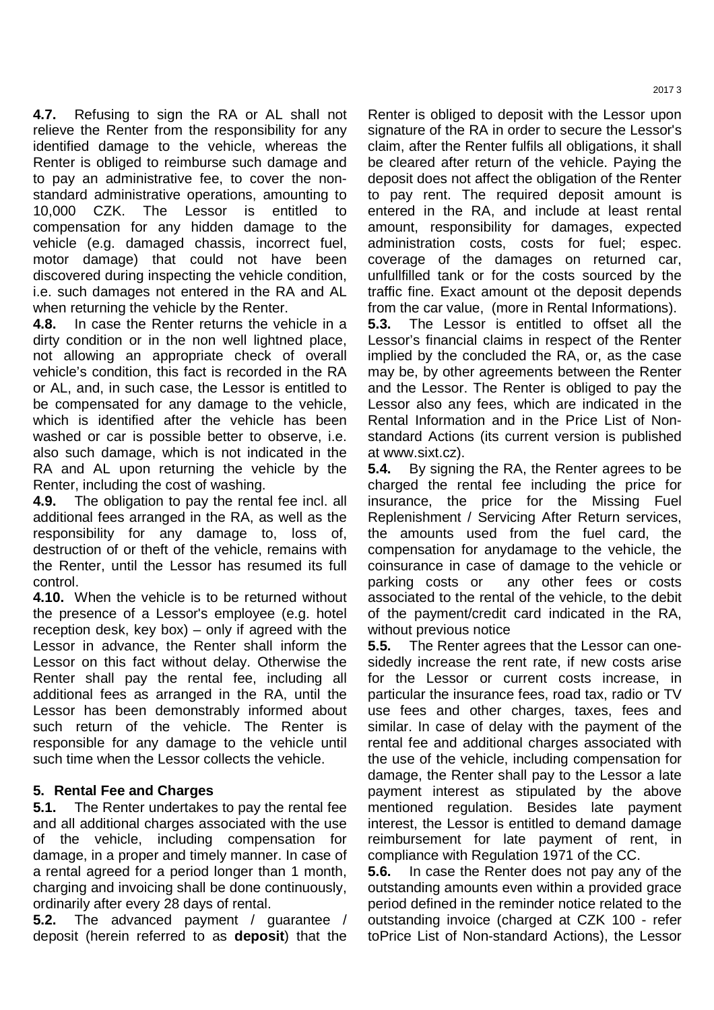**4.7.** Refusing to sign the RA or AL shall not relieve the Renter from the responsibility for any identified damage to the vehicle, whereas the Renter is obliged to reimburse such damage and to pay an administrative fee, to cover the nonstandard administrative operations, amounting to 10,000 CZK. The Lessor is entitled to compensation for any hidden damage to the vehicle (e.g. damaged chassis, incorrect fuel, motor damage) that could not have been discovered during inspecting the vehicle condition, i.e. such damages not entered in the RA and AL when returning the vehicle by the Renter.

**4.8.** In case the Renter returns the vehicle in a dirty condition or in the non well lightned place, not allowing an appropriate check of overall vehicle's condition, this fact is recorded in the RA or AL, and, in such case, the Lessor is entitled to be compensated for any damage to the vehicle, which is identified after the vehicle has been washed or car is possible better to observe, i.e. also such damage, which is not indicated in the RA and AL upon returning the vehicle by the Renter, including the cost of washing.

**4.9.** The obligation to pay the rental fee incl. all additional fees arranged in the RA, as well as the responsibility for any damage to, loss of, destruction of or theft of the vehicle, remains with the Renter, until the Lessor has resumed its full control.

**4.10.** When the vehicle is to be returned without the presence of a Lessor's employee (e.g. hotel reception desk, key box) – only if agreed with the Lessor in advance, the Renter shall inform the Lessor on this fact without delay. Otherwise the Renter shall pay the rental fee, including all additional fees as arranged in the RA, until the Lessor has been demonstrably informed about such return of the vehicle. The Renter is responsible for any damage to the vehicle until such time when the Lessor collects the vehicle.

## **5. Rental Fee and Charges**

**5.1.** The Renter undertakes to pay the rental fee and all additional charges associated with the use of the vehicle, including compensation for damage, in a proper and timely manner. In case of a rental agreed for a period longer than 1 month, charging and invoicing shall be done continuously, ordinarily after every 28 days of rental.

**5.2.** The advanced payment / guarantee / deposit (herein referred to as **deposit**) that the

Renter is obliged to deposit with the Lessor upon signature of the RA in order to secure the Lessor's claim, after the Renter fulfils all obligations, it shall be cleared after return of the vehicle. Paying the deposit does not affect the obligation of the Renter to pay rent. The required deposit amount is entered in the RA, and include at least rental amount, responsibility for damages, expected administration costs, costs for fuel; espec. coverage of the damages on returned car, unfullfilled tank or for the costs sourced by the traffic fine. Exact amount ot the deposit depends from the car value, (more in Rental Informations).

**5.3.** The Lessor is entitled to offset all the Lessor's financial claims in respect of the Renter implied by the concluded the RA, or, as the case may be, by other agreements between the Renter and the Lessor. The Renter is obliged to pay the Lessor also any fees, which are indicated in the Rental Information and in the Price List of Nonstandard Actions (its current version is published at www.sixt.cz).

**5.4.** By signing the RA, the Renter agrees to be charged the rental fee including the price for insurance, the price for the Missing Fuel Replenishment / Servicing After Return services, the amounts used from the fuel card, the compensation for anydamage to the vehicle, the coinsurance in case of damage to the vehicle or parking costs or any other fees or costs associated to the rental of the vehicle, to the debit of the payment/credit card indicated in the RA, without previous notice

**5.5.** The Renter agrees that the Lessor can onesidedly increase the rent rate, if new costs arise for the Lessor or current costs increase, in particular the insurance fees, road tax, radio or TV use fees and other charges, taxes, fees and similar. In case of delay with the payment of the rental fee and additional charges associated with the use of the vehicle, including compensation for damage, the Renter shall pay to the Lessor a late payment interest as stipulated by the above mentioned regulation. Besides late payment interest, the Lessor is entitled to demand damage reimbursement for late payment of rent, in compliance with Regulation 1971 of the CC.

**5.6.** In case the Renter does not pay any of the outstanding amounts even within a provided grace period defined in the reminder notice related to the outstanding invoice (charged at CZK 100 - refer toPrice List of Non-standard Actions), the Lessor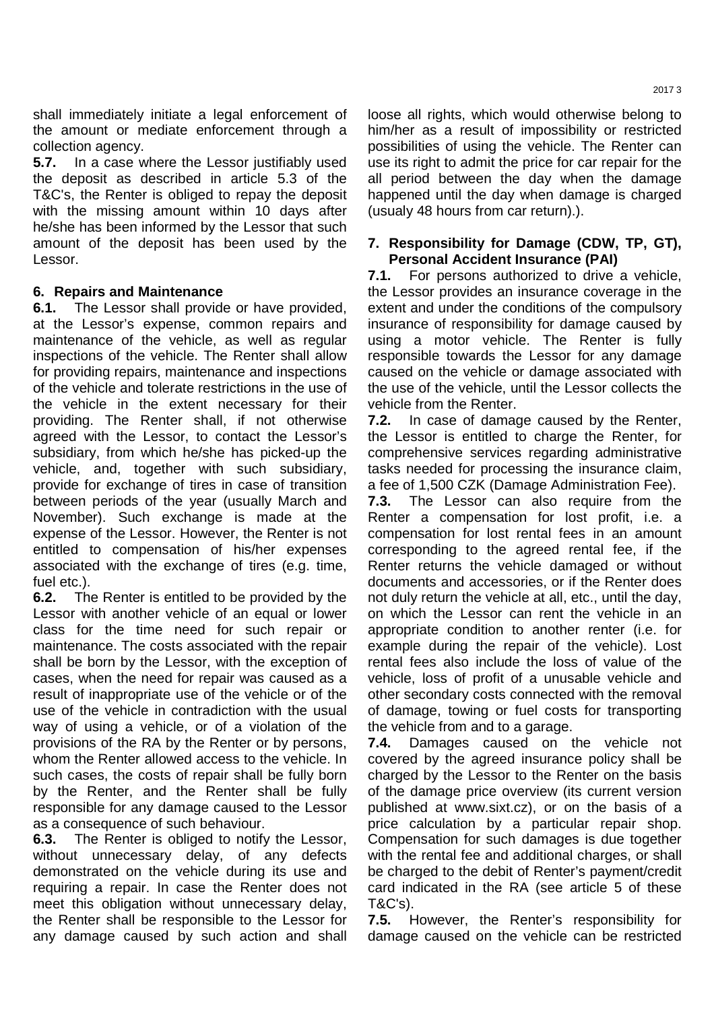shall immediately initiate a legal enforcement of the amount or mediate enforcement through a collection agency.

**5.7.** In a case where the Lessor justifiably used the deposit as described in article 5.3 of the T&C's, the Renter is obliged to repay the deposit with the missing amount within 10 days after he/she has been informed by the Lessor that such amount of the deposit has been used by the Lessor.

## **6. Repairs and Maintenance**

**6.1.** The Lessor shall provide or have provided, at the Lessor's expense, common repairs and maintenance of the vehicle, as well as regular inspections of the vehicle. The Renter shall allow for providing repairs, maintenance and inspections of the vehicle and tolerate restrictions in the use of the vehicle in the extent necessary for their providing. The Renter shall, if not otherwise agreed with the Lessor, to contact the Lessor's subsidiary, from which he/she has picked-up the vehicle, and, together with such subsidiary, provide for exchange of tires in case of transition between periods of the year (usually March and November). Such exchange is made at the expense of the Lessor. However, the Renter is not entitled to compensation of his/her expenses associated with the exchange of tires (e.g. time, fuel etc.).

**6.2.** The Renter is entitled to be provided by the Lessor with another vehicle of an equal or lower class for the time need for such repair or maintenance. The costs associated with the repair shall be born by the Lessor, with the exception of cases, when the need for repair was caused as a result of inappropriate use of the vehicle or of the use of the vehicle in contradiction with the usual way of using a vehicle, or of a violation of the provisions of the RA by the Renter or by persons, whom the Renter allowed access to the vehicle. In such cases, the costs of repair shall be fully born by the Renter, and the Renter shall be fully responsible for any damage caused to the Lessor as a consequence of such behaviour.

**6.3.** The Renter is obliged to notify the Lessor, without unnecessary delay, of any defects demonstrated on the vehicle during its use and requiring a repair. In case the Renter does not meet this obligation without unnecessary delay, the Renter shall be responsible to the Lessor for any damage caused by such action and shall

loose all rights, which would otherwise belong to him/her as a result of impossibility or restricted possibilities of using the vehicle. The Renter can use its right to admit the price for car repair for the all period between the day when the damage happened until the day when damage is charged (usualy 48 hours from car return).).

#### **7. Responsibility for Damage (CDW, TP, GT), Personal Accident Insurance (PAI)**

**7.1.** For persons authorized to drive a vehicle, the Lessor provides an insurance coverage in the extent and under the conditions of the compulsory insurance of responsibility for damage caused by using a motor vehicle. The Renter is fully responsible towards the Lessor for any damage caused on the vehicle or damage associated with the use of the vehicle, until the Lessor collects the vehicle from the Renter.

**7.2.** In case of damage caused by the Renter, the Lessor is entitled to charge the Renter, for comprehensive services regarding administrative tasks needed for processing the insurance claim, a fee of 1,500 CZK (Damage Administration Fee).

**7.3.** The Lessor can also require from the Renter a compensation for lost profit, i.e. a compensation for lost rental fees in an amount corresponding to the agreed rental fee, if the Renter returns the vehicle damaged or without documents and accessories, or if the Renter does not duly return the vehicle at all, etc., until the day, on which the Lessor can rent the vehicle in an appropriate condition to another renter (i.e. for example during the repair of the vehicle). Lost rental fees also include the loss of value of the vehicle, loss of profit of a unusable vehicle and other secondary costs connected with the removal of damage, towing or fuel costs for transporting the vehicle from and to a garage.

**7.4.** Damages caused on the vehicle not covered by the agreed insurance policy shall be charged by the Lessor to the Renter on the basis of the damage price overview (its current version published at www.sixt.cz), or on the basis of a price calculation by a particular repair shop. Compensation for such damages is due together with the rental fee and additional charges, or shall be charged to the debit of Renter's payment/credit card indicated in the RA (see article 5 of these T&C's).

**7.5.** However, the Renter's responsibility for damage caused on the vehicle can be restricted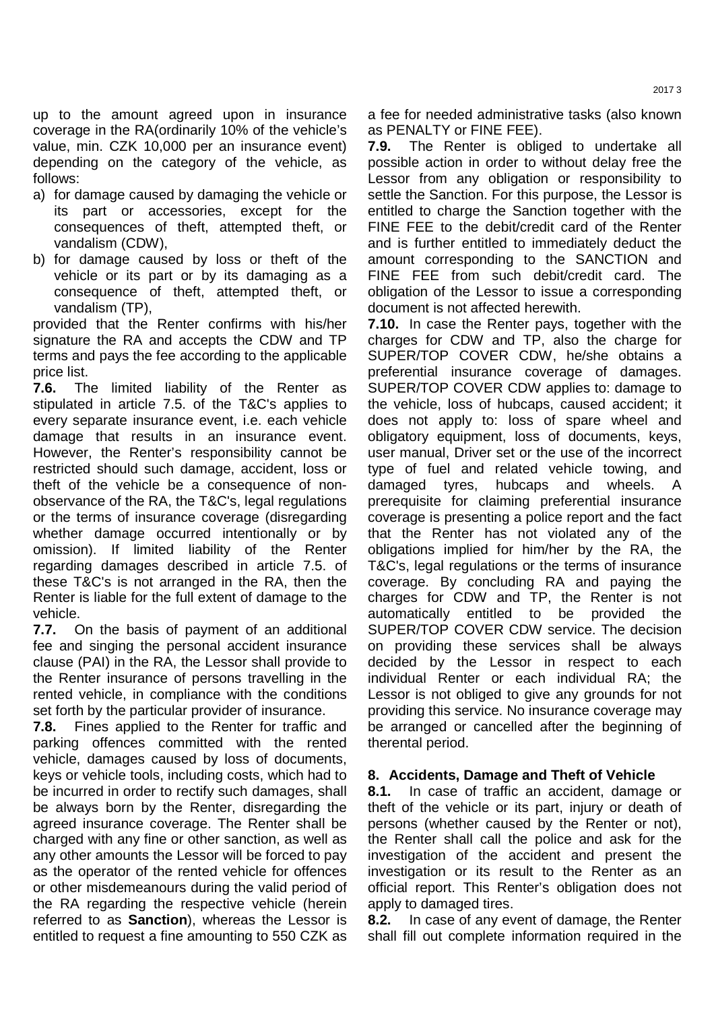up to the amount agreed upon in insurance coverage in the RA(ordinarily 10% of the vehicle's value, min. CZK 10,000 per an insurance event) depending on the category of the vehicle, as follows:

- a) for damage caused by damaging the vehicle or its part or accessories, except for the consequences of theft, attempted theft, or vandalism (CDW),
- b) for damage caused by loss or theft of the vehicle or its part or by its damaging as a consequence of theft, attempted theft, or vandalism (TP),

provided that the Renter confirms with his/her signature the RA and accepts the CDW and TP terms and pays the fee according to the applicable price list.

**7.6.** The limited liability of the Renter as stipulated in article 7.5. of the T&C's applies to every separate insurance event, i.e. each vehicle damage that results in an insurance event. However, the Renter's responsibility cannot be restricted should such damage, accident, loss or theft of the vehicle be a consequence of nonobservance of the RA, the T&C's, legal regulations or the terms of insurance coverage (disregarding whether damage occurred intentionally or by omission). If limited liability of the Renter regarding damages described in article 7.5. of these T&C's is not arranged in the RA, then the Renter is liable for the full extent of damage to the vehicle.

**7.7.** On the basis of payment of an additional fee and singing the personal accident insurance clause (PAI) in the RA, the Lessor shall provide to the Renter insurance of persons travelling in the rented vehicle, in compliance with the conditions set forth by the particular provider of insurance.

**7.8.** Fines applied to the Renter for traffic and parking offences committed with the rented vehicle, damages caused by loss of documents, keys or vehicle tools, including costs, which had to be incurred in order to rectify such damages, shall be always born by the Renter, disregarding the agreed insurance coverage. The Renter shall be charged with any fine or other sanction, as well as any other amounts the Lessor will be forced to pay as the operator of the rented vehicle for offences or other misdemeanours during the valid period of the RA regarding the respective vehicle (herein referred to as **Sanction**), whereas the Lessor is entitled to request a fine amounting to 550 CZK as

a fee for needed administrative tasks (also known as PENALTY or FINE FEE).

**7.9.** The Renter is obliged to undertake all possible action in order to without delay free the Lessor from any obligation or responsibility to settle the Sanction. For this purpose, the Lessor is entitled to charge the Sanction together with the FINE FEE to the debit/credit card of the Renter and is further entitled to immediately deduct the amount corresponding to the SANCTION and FINE FEE from such debit/credit card. The obligation of the Lessor to issue a corresponding document is not affected herewith.

**7.10.** In case the Renter pays, together with the charges for CDW and TP, also the charge for SUPER/TOP COVER CDW, he/she obtains a preferential insurance coverage of damages. SUPER/TOP COVER CDW applies to: damage to the vehicle, loss of hubcaps, caused accident; it does not apply to: loss of spare wheel and obligatory equipment, loss of documents, keys, user manual, Driver set or the use of the incorrect type of fuel and related vehicle towing, and damaged tyres, hubcaps and wheels. A prerequisite for claiming preferential insurance coverage is presenting a police report and the fact that the Renter has not violated any of the obligations implied for him/her by the RA, the T&C's, legal regulations or the terms of insurance coverage. By concluding RA and paying the charges for CDW and TP, the Renter is not automatically entitled to be provided the SUPER/TOP COVER CDW service. The decision on providing these services shall be always decided by the Lessor in respect to each individual Renter or each individual RA; the Lessor is not obliged to give any grounds for not providing this service. No insurance coverage may be arranged or cancelled after the beginning of therental period.

## **8. Accidents, Damage and Theft of Vehicle**

**8.1.** In case of traffic an accident, damage or theft of the vehicle or its part, injury or death of persons (whether caused by the Renter or not), the Renter shall call the police and ask for the investigation of the accident and present the investigation or its result to the Renter as an official report. This Renter's obligation does not apply to damaged tires.

**8.2.** In case of any event of damage, the Renter shall fill out complete information required in the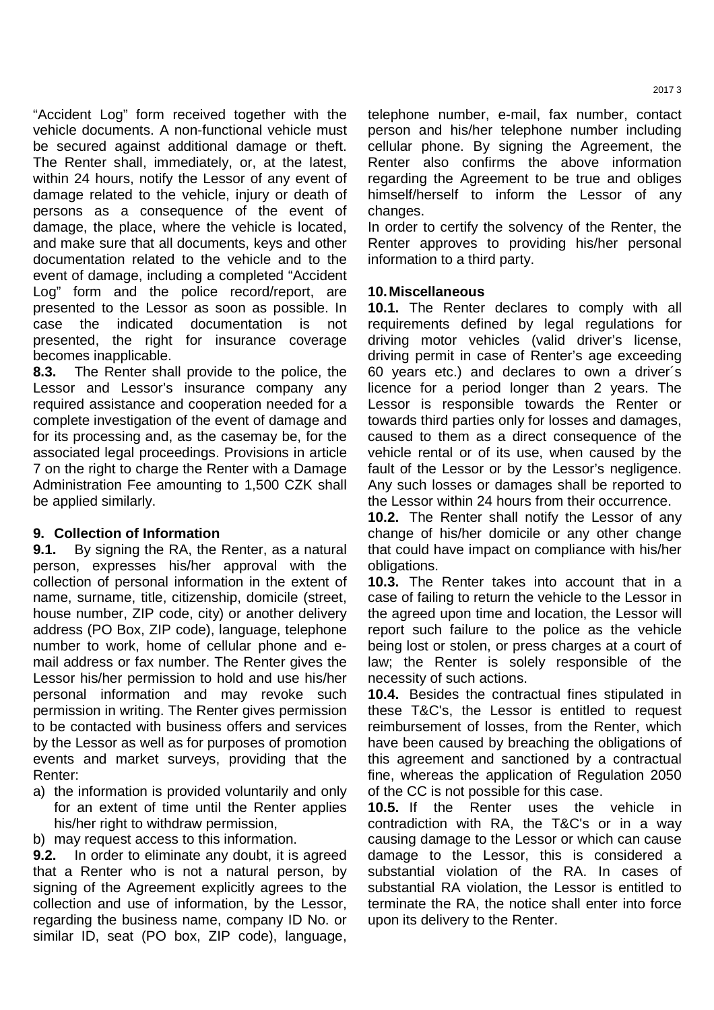"Accident Log" form received together with the vehicle documents. A non-functional vehicle must be secured against additional damage or theft. The Renter shall, immediately, or, at the latest, within 24 hours, notify the Lessor of any event of damage related to the vehicle, injury or death of persons as a consequence of the event of damage, the place, where the vehicle is located, and make sure that all documents, keys and other documentation related to the vehicle and to the event of damage, including a completed "Accident Log" form and the police record/report, are presented to the Lessor as soon as possible. In case the indicated documentation is not presented, the right for insurance coverage becomes inapplicable.

**8.3.** The Renter shall provide to the police, the Lessor and Lessor's insurance company any required assistance and cooperation needed for a complete investigation of the event of damage and for its processing and, as the casemay be, for the associated legal proceedings. Provisions in article 7 on the right to charge the Renter with a Damage Administration Fee amounting to 1,500 CZK shall be applied similarly.

## **9. Collection of Information**

**9.1.** By signing the RA, the Renter, as a natural person, expresses his/her approval with the collection of personal information in the extent of name, surname, title, citizenship, domicile (street, house number, ZIP code, city) or another delivery address (PO Box, ZIP code), language, telephone number to work, home of cellular phone and email address or fax number. The Renter gives the Lessor his/her permission to hold and use his/her personal information and may revoke such permission in writing. The Renter gives permission to be contacted with business offers and services by the Lessor as well as for purposes of promotion events and market surveys, providing that the Renter:

- a) the information is provided voluntarily and only for an extent of time until the Renter applies his/her right to withdraw permission,
- b) may request access to this information.

**9.2.** In order to eliminate any doubt, it is agreed that a Renter who is not a natural person, by signing of the Agreement explicitly agrees to the collection and use of information, by the Lessor, regarding the business name, company ID No. or similar ID, seat (PO box, ZIP code), language,

telephone number, e-mail, fax number, contact person and his/her telephone number including cellular phone. By signing the Agreement, the Renter also confirms the above information regarding the Agreement to be true and obliges himself/herself to inform the Lessor of any changes.

In order to certify the solvency of the Renter, the Renter approves to providing his/her personal information to a third party.

#### **10. Miscellaneous**

**10.1.** The Renter declares to comply with all requirements defined by legal regulations for driving motor vehicles (valid driver's license, driving permit in case of Renter's age exceeding 60 years etc.) and declares to own a driver´s licence for a period longer than 2 years. The Lessor is responsible towards the Renter or towards third parties only for losses and damages, caused to them as a direct consequence of the vehicle rental or of its use, when caused by the fault of the Lessor or by the Lessor's negligence. Any such losses or damages shall be reported to the Lessor within 24 hours from their occurrence.

**10.2.** The Renter shall notify the Lessor of any change of his/her domicile or any other change that could have impact on compliance with his/her obligations.

**10.3.** The Renter takes into account that in a case of failing to return the vehicle to the Lessor in the agreed upon time and location, the Lessor will report such failure to the police as the vehicle being lost or stolen, or press charges at a court of law; the Renter is solely responsible of the necessity of such actions.

**10.4.** Besides the contractual fines stipulated in these T&C's, the Lessor is entitled to request reimbursement of losses, from the Renter, which have been caused by breaching the obligations of this agreement and sanctioned by a contractual fine, whereas the application of Regulation 2050 of the CC is not possible for this case.

**10.5.** If the Renter uses the vehicle in contradiction with RA, the T&C's or in a way causing damage to the Lessor or which can cause damage to the Lessor, this is considered a substantial violation of the RA. In cases of substantial RA violation, the Lessor is entitled to terminate the RA, the notice shall enter into force upon its delivery to the Renter.